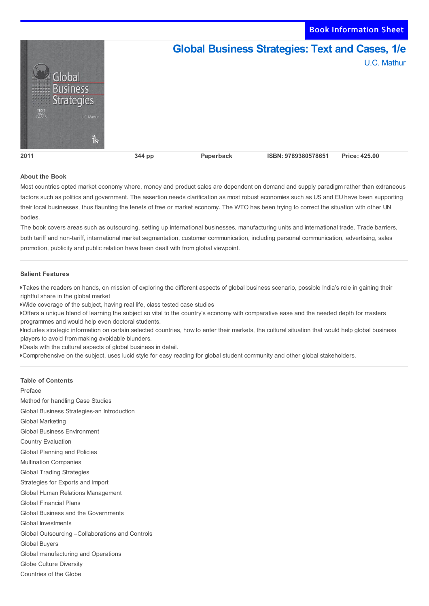Book Information Sheet



## **About the Book**

Most countries opted market economy where, money and product sales are dependent on demand and supply paradigm rather than extraneous factors such as politics and government. The assertion needs clarification as most robust economies such as US and EU have been supporting their local businesses, thus flaunting the tenets of free or market economy. The WTO has been trying to correct the situation with other UN bodies.

The book covers areas such as outsourcing, setting up international businesses, manufacturing units and international trade. Trade barriers, both tariff and non-tariff, international market segmentation, customer communication, including personal communication, advertising, sales promotion, publicity and public relation have been dealt with from global viewpoint.

## **Salient Features**

Takes the readers on hands, on mission of exploring the different aspects of global business scenario, possible India's role in gaining their rightful share in the global market

Wide coverage of the subject, having real life, class tested case studies

Offers a unique blend of learning the subject so vital to the country's economy with comparative ease and the needed depth for masters programmes and would help even doctoral students.

Includes strategic information on certain selected countries, how to enter their markets, the cultural situation that would help global business players to avoid from making avoidable blunders.

Deals with the cultural aspects of global business in detail.

Comprehensive on the subject, uses lucid style for easy reading for global student community and other global stakeholders.

## **Table of Contents**

Preface

Method for handling Case Studies Global Business Strategies-an Introduction Global Marketing Global Business Environment Country Evaluation Global Planning and Policies Multination Companies Global Trading Strategies Strategies for Exports and Import Global Human Relations Management Global Financial Plans Global Business and the Governments Global Investments Global Outsourcing –Collaborations and Controls Global Buyers Global manufacturing and Operations Globe Culture Diversity Countries of the Globe